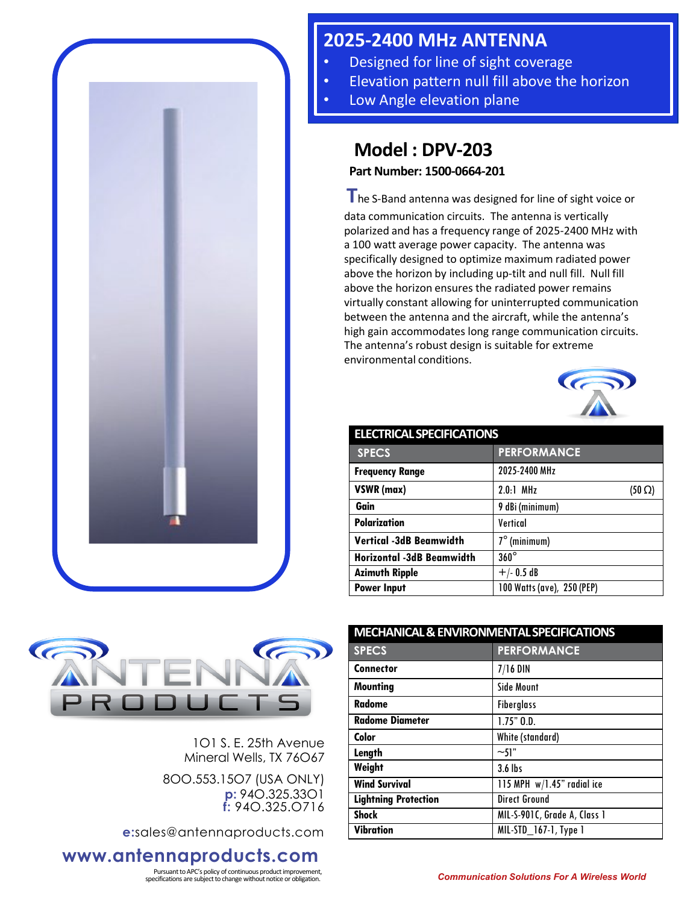

## **2025-2400 MHz ANTENNA**

- Designed for line of sight coverage
- Elevation pattern null fill above the horizon
- Low Angle elevation plane

## **Model : DPV-203**

**Part Number: 1500-0664-201**

**T**he S-Band antenna was designed for line of sight voice or data communication circuits. The antenna is vertically polarized and has a frequency range of 2025-2400 MHz with a 100 watt average power capacity. The antenna was specifically designed to optimize maximum radiated power above the horizon by including up-tilt and null fill. Null fill above the horizon ensures the radiated power remains virtually constant allowing for uninterrupted communication between the antenna and the aircraft, while the antenna's high gain accommodates long range communication circuits. The antenna's robust design is suitable for extreme environmental conditions.



| <b>ELECTRICAL SPECIFICATIONS</b> |                              |
|----------------------------------|------------------------------|
| <b>SPECS</b>                     | <b>PERFORMANCE</b>           |
| <b>Frequency Range</b>           | 2025-2400 MHz                |
| VSWR (max)                       | $2.0.1$ MHz<br>$(50 \Omega)$ |
| Gain                             | 9 dBi (minimum)              |
| <b>Polarization</b>              | Vertical                     |
| <b>Vertical -3dB Beamwidth</b>   | $7^\circ$ (minimum)          |
| <b>Horizontal -3dB Beamwidth</b> | $360^\circ$                  |
| <b>Azimuth Ripple</b>            | $+/- 0.5 dB$                 |
| <b>Power Input</b>               | 100 Watts (ave), 250 (PEP)   |



1O1 S. E. 25th Avenue Mineral Wells, TX 76O67

8OO.553.15O7 (USA ONLY) **p:** 94O.325.33O1 **f:** 94O.325.O716

**e:**sales@antennaproducts.com

## **www.antennaproducts.com**

Pursuant to APC's policy of continuous product improvement,

| <b>MECHANICAL &amp; ENVIRONMENTAL SPECIFICATIONS</b> |  |
|------------------------------------------------------|--|
| <b>PERFORMANCE</b>                                   |  |
| $7/16$ DIN                                           |  |
| <b>Side Mount</b>                                    |  |
| <b>Fiberglass</b>                                    |  |
| $1.75"$ $0.0.$                                       |  |
| White (standard)                                     |  |
| $\sim$ 51"                                           |  |
| $3.6$ lbs                                            |  |
| 115 MPH $w/1.45$ " radial ice                        |  |
| <b>Direct Ground</b>                                 |  |
| MIL-S-901C, Grade A, Class 1                         |  |
| MIL-STD 167-1, Type 1                                |  |
|                                                      |  |